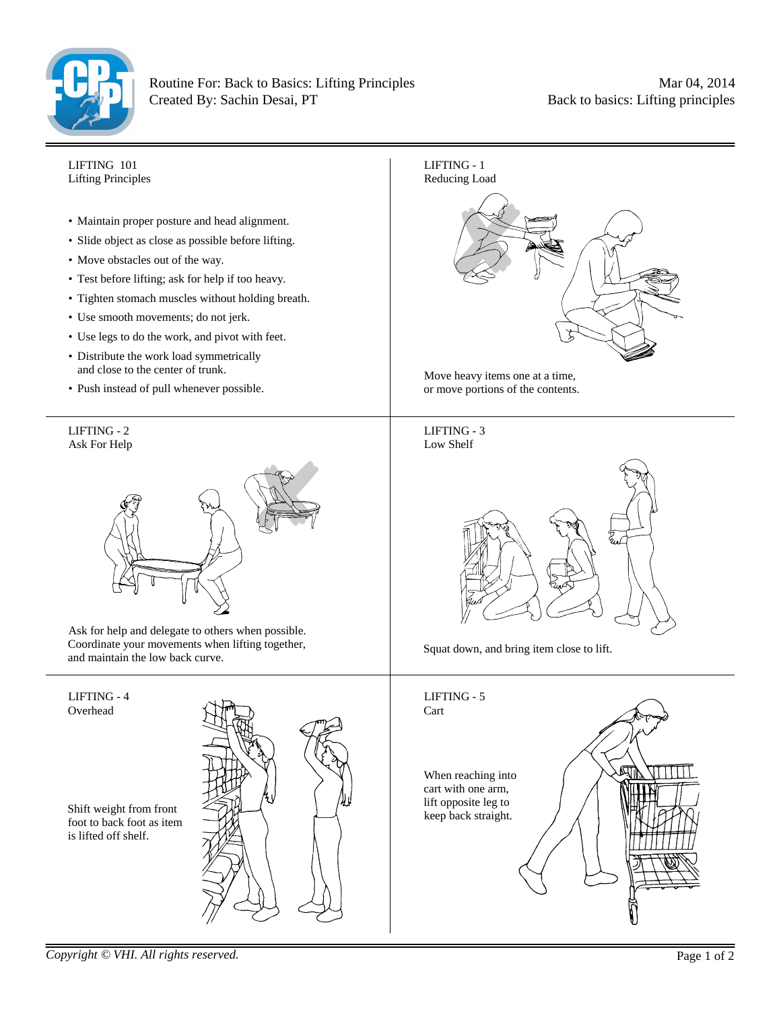